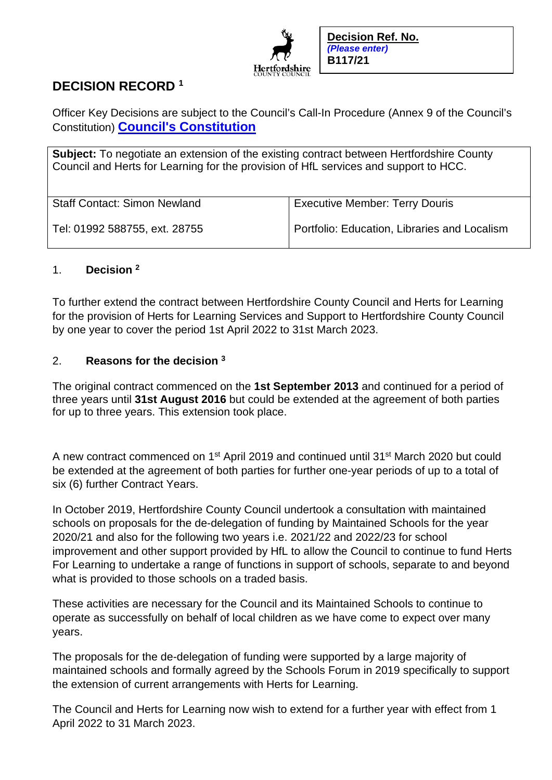

# **DECISION RECORD <sup>1</sup>**

Officer Key Decisions are subject to the Council's Call-In Procedure (Annex 9 of the Council's Constitution) **[Council's Constitution](https://www.hertfordshire.gov.uk/about-the-council/freedom-of-information-and-council-data/open-data-statistics-about-hertfordshire/who-we-are-and-what-we-do/who-we-are-and-what-we-do.aspx)**

**Subject:** To negotiate an extension of the existing contract between Hertfordshire County Council and Herts for Learning for the provision of HfL services and support to HCC.

| <b>Staff Contact: Simon Newland</b> | <b>Executive Member: Terry Douris</b>        |
|-------------------------------------|----------------------------------------------|
| Tel: 01992 588755, ext. 28755       | Portfolio: Education, Libraries and Localism |

## 1. **Decision <sup>2</sup>**

To further extend the contract between Hertfordshire County Council and Herts for Learning for the provision of Herts for Learning Services and Support to Hertfordshire County Council by one year to cover the period 1st April 2022 to 31st March 2023.

## 2. **Reasons for the decision <sup>3</sup>**

The original contract commenced on the **1st September 2013** and continued for a period of three years until **31st August 2016** but could be extended at the agreement of both parties for up to three years. This extension took place.

A new contract commenced on 1<sup>st</sup> April 2019 and continued until 31<sup>st</sup> March 2020 but could be extended at the agreement of both parties for further one-year periods of up to a total of six (6) further Contract Years.

In October 2019, Hertfordshire County Council undertook a consultation with maintained schools on proposals for the de-delegation of funding by Maintained Schools for the year 2020/21 and also for the following two years i.e. 2021/22 and 2022/23 for school improvement and other support provided by HfL to allow the Council to continue to fund Herts For Learning to undertake a range of functions in support of schools, separate to and beyond what is provided to those schools on a traded basis.

These activities are necessary for the Council and its Maintained Schools to continue to operate as successfully on behalf of local children as we have come to expect over many years.

The proposals for the de-delegation of funding were supported by a large majority of maintained schools and formally agreed by the Schools Forum in 2019 specifically to support the extension of current arrangements with Herts for Learning.

The Council and Herts for Learning now wish to extend for a further year with effect from 1 April 2022 to 31 March 2023.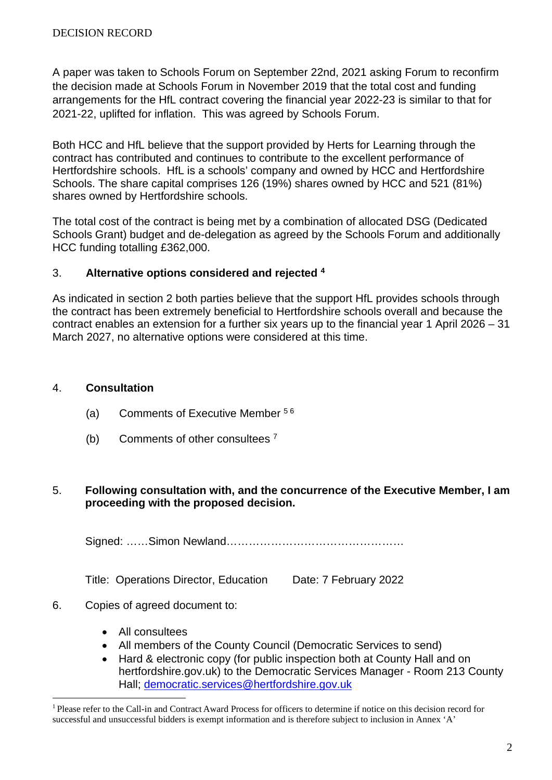A paper was taken to Schools Forum on September 22nd, 2021 asking Forum to reconfirm the decision made at Schools Forum in November 2019 that the total cost and funding arrangements for the HfL contract covering the financial year 2022-23 is similar to that for 2021-22, uplifted for inflation. This was agreed by Schools Forum.

Both HCC and HfL believe that the support provided by Herts for Learning through the contract has contributed and continues to contribute to the excellent performance of Hertfordshire schools. HfL is a schools' company and owned by HCC and Hertfordshire Schools. The share capital comprises 126 (19%) shares owned by HCC and 521 (81%) shares owned by Hertfordshire schools.

The total cost of the contract is being met by a combination of allocated DSG (Dedicated Schools Grant) budget and de-delegation as agreed by the Schools Forum and additionally HCC funding totalling £362,000.

## 3. **Alternative options considered and rejected <sup>4</sup>**

As indicated in section 2 both parties believe that the support HfL provides schools through the contract has been extremely beneficial to Hertfordshire schools overall and because the contract enables an extension for a further six years up to the financial year 1 April 2026 – 31 March 2027, no alternative options were considered at this time.

#### 4. **Consultation**

- (a) Comments of Executive Member 5 6
- (b) Comments of other consultees  $<sup>7</sup>$ </sup>

#### 5. **Following consultation with, and the concurrence of the Executive Member, I am proceeding with the proposed decision.**

Signed: ……Simon Newland…………………………………………

Title: Operations Director, Education Date: 7 February 2022

## 6. Copies of agreed document to:

- All consultees
- All members of the County Council (Democratic Services to send)
- Hard & electronic copy (for public inspection both at County Hall and on hertfordshire.gov.uk) to the Democratic Services Manager - Room 213 County Hall; [democratic.services@hertfordshire.gov.uk](mailto:democratic.services@hertfordshire.gov.uk)

<sup>&</sup>lt;sup>1</sup> Please refer to the Call-in and Contract Award Process for officers to determine if notice on this decision record for successful and unsuccessful bidders is exempt information and is therefore subject to inclusion in Annex 'A'